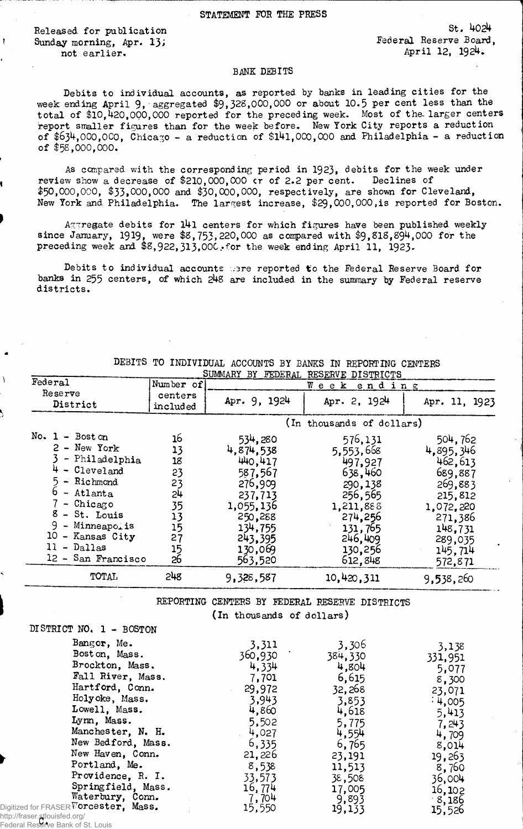Released for publication *1* Sunday morning, Apr. 13*>* not earlier.

St. 40<sup>24</sup> Federal Reserve Board, April 12, 1924.

## **BANK DEBITS**

Debits to individual accounts, as reported by banks in leading cities for the week ending April 9, aggregated \$9,328,000,000 or about 10.5 per cent less than the total of \$10,420,000,000 reported for the preceding week. Most of the larger centers report smaller figures than for the week before. New York City reports a reduction of \$634,000,000, Chicago - a reduction of \$l4l,000,000 and Philadelphia - a reduction of \$58,000,000.

As compared with the corresponding period in 1923, debits for the week under review show a decrease of \$210,000,000 cr of 2.2 per cent. Declines of  $$50,000,000, $33,000,000 \text{ and } $30,000,000, \text{ respectively}, \text{ are shown for Cleveland},$ New York and Philadelphia. The largest increase, \$29,000,000,is reported for Boston.

 $A$ ggregate debits for  $141$  centers for which figures have been published weekly since January, 1919, were \$8,753,220,000 as compared with \$9,SIS,894,000 for the preceding week and  $$8,922,313,000$ . for the week ending April 11, 1923.

Debits to individual accounts were reported to the Federal Reserve Board for banks in 255 centers, of which 248 are included in the summary by Federal reserve districts.

|                                                                                                                                                                                                                                            |                                                                      | SUMMARY BY FEDERAL                                                                                                                   | RESERVE DISTRICTS                                                                                                                    |                                                                                                                                                   |
|--------------------------------------------------------------------------------------------------------------------------------------------------------------------------------------------------------------------------------------------|----------------------------------------------------------------------|--------------------------------------------------------------------------------------------------------------------------------------|--------------------------------------------------------------------------------------------------------------------------------------|---------------------------------------------------------------------------------------------------------------------------------------------------|
| Federal                                                                                                                                                                                                                                    | Number of                                                            |                                                                                                                                      | Week ending                                                                                                                          |                                                                                                                                                   |
| Reserve<br>District                                                                                                                                                                                                                        | centers<br>included                                                  | Apr. 9, 1924                                                                                                                         | Apr. 2, 1924                                                                                                                         | Apr. 11, 1923                                                                                                                                     |
|                                                                                                                                                                                                                                            |                                                                      |                                                                                                                                      | (In thousands of dollars)                                                                                                            |                                                                                                                                                   |
| No. $1 - \text{Bost} \, \text{on}$<br>$2 - New York$<br>- Philadelphia<br>$4 - Clevel$ and<br>- Richmond<br>- Atlanta<br>- Chicago<br>$8 - St.$ Louis<br>9<br>- Minneapolis<br>10<br>- Kansas City<br>- Dallas<br>11<br>12 - San Francisco | 16<br>13<br>18<br>23<br>23<br>24<br>35<br>13<br>15<br>27<br>15<br>26 | 534,280<br>4.874,538<br>440.417<br>587,567<br>276,909<br>237.713<br>1,055,136<br>250,288<br>134,755<br>243,395<br>130,069<br>563,520 | 576,131<br>5,553,668<br>497.927<br>638,460<br>290,138<br>256,565<br>1,211,888<br>274,256<br>131,765<br>246,409<br>130,256<br>612,848 | 504,762<br>4,895,346<br>462,613<br>689,887<br>269,883<br>215,812<br>1,072,220<br>271,386<br>148,731<br>289,035<br>145,714<br>572,871<br>9,538,260 |
| <b>TOTAL</b>                                                                                                                                                                                                                               | 248                                                                  | 9,328,587                                                                                                                            | 10,420,311                                                                                                                           |                                                                                                                                                   |

DEBITS TO INDIVIDUAL ACCOUNTS BY BANKS IN REPORTING CENTERS SUMMARY BY FEDERAL RESERVE DISTRICTS

REPORTING CENTERS BY FEDERAL RESERVE DISTRICTS

(In thousands of dollars)

| DISTRICT NO. 1 - BOSTON |  |  |  |
|-------------------------|--|--|--|
|-------------------------|--|--|--|

| Bangor, Me.                | 3,311   | 3,306   | 3,138   |
|----------------------------|---------|---------|---------|
| Bost on, Mass.             | 360,930 | 384,330 | 331,951 |
| Brockton, Mass.            | 4,334   | 4,804   | 5,077   |
| Fall River, Mass.          | 7,701   | 6,615   | 8,300   |
| Hartford, Conn.            | 29,972  | 32,268  | 23,071  |
| Holyoke, Mass.             | 3,943   | 3,853   | 4,005   |
| Lowell, Mass.              | 4,860   | 4,618   | 5,413   |
| Lynn, Mass.                | 5,502   | 5,775   | 7,243   |
| Manchester, N. H.          | 4,027   | 4,554   | 4,709   |
| New Bedford, Mass.         | 6,335   | 6,765   | 8,014   |
| New Haven, Conn.           | 21,226  | 23,191  | 19,263  |
| Portland, Me.              | 8,538   | 11,513  | 8,760   |
| Providence, R. I.          | 33,573  | 38,508  | 36,004  |
| Springfield, Mass.         | 16,774  | 17,005  | 16,102  |
| Waterbury, Conn.           | 7,704   | 9,893   | 8,186   |
| or FRASER Wordester, Mass. | 15,550  | 19,133  | 15,526  |
| r etlouiefod oral          |         |         |         |

http://fraser.stlouisfed.org/<br>Eederal Pesarve Bank of S Digitized for<br>http://fraser Federal Reserve Bank of St. Louis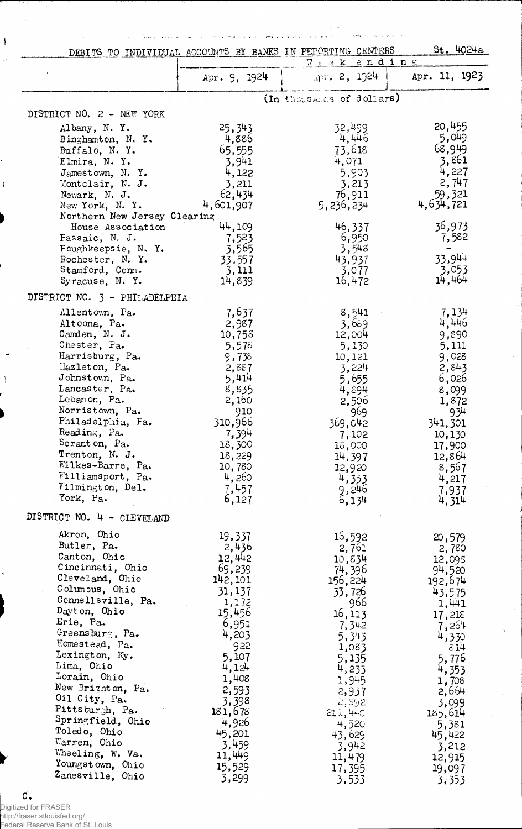$\sim$  consequence  $\sim$   $\sim$   $\sim$   $\sim$   $\sim$ فالمحاجة المتلم التاريخ الوالو الوسع ممالوه والوسع الوالوجود والتاري والهمام والمتلوم والمتلكي  $\mathcal{A}^{\mathcal{A}}$  and  $\mathcal{A}^{\mathcal{A}}$  are  $\mathcal{A}^{\mathcal{A}}$  . The contribution of DEBIT STO INDIVIDUAL ACCOUNTS BY BANES IN PEPORTING CENTERS St. 4024a

 $\overline{ }$ 

 $\sim$ 

| DEBITS TO INDIVIDUAL ACCOUNTS BI BANAS IN PERCRITING CENTERS |                 |                            | $200 - 70 - 14$ |
|--------------------------------------------------------------|-----------------|----------------------------|-----------------|
|                                                              | Apr. 9, 1924    | Weekending<br>Apr. 2, 1924 | Apr. 11, 1923   |
|                                                              |                 | (In thousands of dollars)  |                 |
| DISTRICT NO. 2 - NEW YORK                                    |                 |                            |                 |
| Albany, N.Y.                                                 | 25,343          | 32,499                     | 20,455          |
| Binghamton, N.Y.                                             | 4,886           | 4,446                      | 5,049           |
| Buffalo, N.Y.                                                | 65,555          | 73,618                     | 68,949          |
| Elmira, N.Y.                                                 | 3,941           | 4,071                      | 3,861           |
| Jamestown, N.Y.                                              | 4,122           | 5,903                      | 4,227           |
| Montclair, N. J.                                             | 3,211           | 3,213                      | 2,747           |
| Newark, N. J.                                                | 62,434          | 76,911                     | 59,321          |
| New York, N.Y.                                               | 4,601,907       | 5,236,234                  | 4,634,721       |
| Northern New Jersey Clearing                                 |                 |                            |                 |
| House Association                                            | 44,109          | 46,337                     | 36,973          |
| Passaic, N. J.                                               | 7,523<br>3,565  | 6,950<br>3,548             | 7,582           |
| Poughkeepsie, N.Y.<br>Rochester, N.Y.                        | 33,557          | 43,937                     | 33,944          |
| Stamford, Com.                                               | 3,111           | 3,077                      | 3,053           |
| Syracuse, N.Y.                                               | 14,839          | 16,472                     | 14,464          |
| DISTRICT NO. 3 - PHILADELPHIA                                |                 |                            |                 |
|                                                              |                 |                            |                 |
| Allentown, Pa.<br>Altoona, Pa.                               | 7,637<br>2,987  | 8,541                      | 7,134<br>4,446  |
| Camden, N. J.                                                | 10,753          | 3,689<br>12,004            | 9,890           |
| Chester, Pa.                                                 | 5,578           | 5,130                      | 5,111           |
| Harrisburg, Pa.                                              | 9,738           | 10,121                     | 9,028           |
| Hazleton, Pa.                                                | 2,887           | 3,224                      | 2,843           |
| Johnstown, Pa.                                               | 5,414           | 5,655                      | 6,026           |
| Lancaster, Pa.                                               | 8,835           | 4,894                      | 8,099           |
| Lebanon, Pa.                                                 | 2,160           | 2,506                      | 1,872           |
| Norristown, Pa.                                              | 910             | 969                        | 934             |
| Philadelphia, Pa.                                            | 310,966         | 369,042                    | 341,301         |
| Reading, Pa.                                                 | $-7,394$        | 7,102                      | 10,130          |
| Scranton, Pa.                                                | 18,300          | 18,000                     | 17,900          |
| Trenton, N. J.                                               | 18,229          | 14,397                     | 12,864          |
| Wilkes-Barre, Pa.                                            | 10,780          | 12,920                     | 8,567           |
| Williamsport, Pa.<br>Wilmington, Del.                        | 4,260           | 4,353                      | 4,217           |
| York, Pa.                                                    | 7,457           | 9,246                      | 7,937           |
|                                                              | 6,127           | 6,134                      | 4,314           |
| DISTRICT NO. 4 - CLEVELAND                                   |                 |                            |                 |
| Akron, Ohio                                                  | 19,337          | 16,592                     | 20,579          |
| Butler, Pa.                                                  | 2,436           | 2,761                      | 2,780           |
| Canton, Ohio                                                 | 12,442          | 10,634                     | 12,098          |
| Cincinnati, Ohio<br>Cleveland, Ohio                          | 69,239          | 74,396                     | 94,520          |
| Columbus, Ohio                                               | 142, 101        | 156,224                    | 192,674         |
| Connellsville, Pa.                                           | 31,137          | 33,726                     | 43,575          |
| Dayton, Ohio                                                 | 1,172<br>15,456 | 966                        | 1,441           |
| Erie, Pa.                                                    | 6,951           | 16,113<br>7,342            | 17,218          |
| Greensburg, Pa.                                              | 4,203           | 5.343                      | 7,264<br>4,330  |
| Homestead, Pa.                                               | 922             | 1,083                      | 814             |
| Lexington, Ky.                                               | 5,107           | 5,135                      | 5,776           |
| Lima, Ohio                                                   | 4,124           | 4,233                      | 4,353           |
| Lorain, Ohio                                                 | 1,408           | 1,945                      | 1,708           |
| New Brighton, Pa.                                            | 2,593           | 2,937                      | 2,664           |
| Oil City, Pa.                                                | 3,398           | 2,592                      | 3,099           |
| Pittsburgh, Pa.                                              | 181,678         | 21,440                     | 185,614         |
| Springfield, Ohio                                            | 4,926           | 4,520                      | 5,381           |
| Toledo, Ohio                                                 | 45,201          | 43,629                     | 45,422          |
| Warren, Ohio<br>Wheeling, W. Va.                             | 3,459           | 3,942                      | 3,212           |
| Youngstown, Ohio                                             | 11,449          | 11,479                     | 12,915          |
| Zanesville, Ohio                                             | 15,529          | 17,395                     | 19,097          |
|                                                              | 3,299           | 3,533                      | 3,353           |

C. Digitized for FRASER http://fraser.stlouisfed.org/ Federal Reserve Bank of St. Louis

 $\cdot$  (  $\ddot{\phantom{a}}$ 

 $\mathbf{I}$ 

-1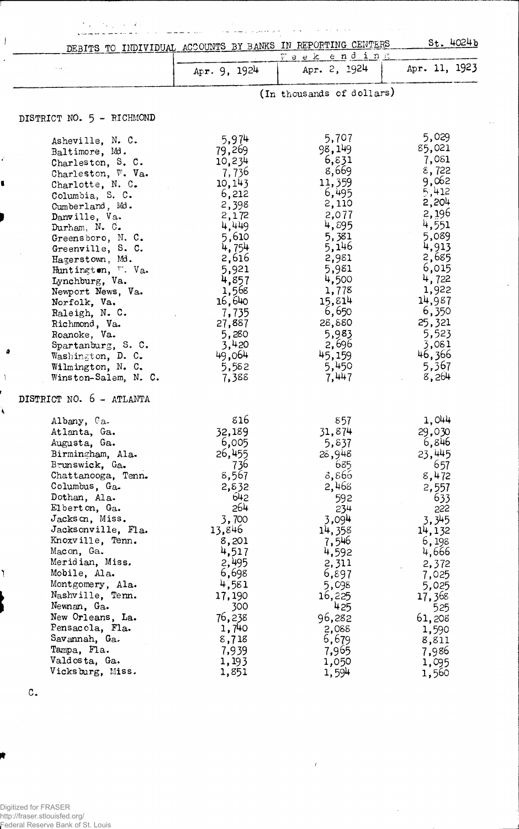| ファー・エー・エー<br>DEBITS TO INDIVIDUAL ACCOUNTS BY BANKS IN REPORTING CENTERS                                                                                                                                                                                                                                                                                                                                                                                       |                                                                                                                                                                                                                        |                                                                                                                                                                                                                  | St. 4024b                                                                                                                                                                                                          |
|----------------------------------------------------------------------------------------------------------------------------------------------------------------------------------------------------------------------------------------------------------------------------------------------------------------------------------------------------------------------------------------------------------------------------------------------------------------|------------------------------------------------------------------------------------------------------------------------------------------------------------------------------------------------------------------------|------------------------------------------------------------------------------------------------------------------------------------------------------------------------------------------------------------------|--------------------------------------------------------------------------------------------------------------------------------------------------------------------------------------------------------------------|
|                                                                                                                                                                                                                                                                                                                                                                                                                                                                | Apr. $9, 1924$                                                                                                                                                                                                         | Veek ending<br>Apr. 2, 1924                                                                                                                                                                                      | Apr. 11, 1923                                                                                                                                                                                                      |
|                                                                                                                                                                                                                                                                                                                                                                                                                                                                |                                                                                                                                                                                                                        | (In thousands of dollars)                                                                                                                                                                                        |                                                                                                                                                                                                                    |
| DISTRICT NO. 5 - RICHMOND                                                                                                                                                                                                                                                                                                                                                                                                                                      |                                                                                                                                                                                                                        |                                                                                                                                                                                                                  |                                                                                                                                                                                                                    |
| Asheville, N. C.<br>Baltimore, Md.<br>Charleston, S. C.<br>Charleston, W. Va.<br>Charlotte, N. C.<br>Columbia, S. C.<br>Cumberland, Md.<br>Danville, Va.<br>Durham, N. C.<br>Greensboro, N. C.<br>Greenville, S. C.<br>Hagerstown, Md.<br>Huntington, V. Va.<br>Lynchburg, Va.<br>Newport News, Va.<br>Norfolk, Va.<br>Raleigh, N. C.<br>Richmond, Va.<br>Roanoke, Va.<br>Spartanburg, S. C.<br>Washington, D. C.<br>Wilmington, N. C.<br>Winston-Salem, N. C. | 5,974<br>79,269<br>10,234<br>- 7, 736<br>10, 143<br>6,212<br>2,398<br>2,172<br>4,449<br>5,610<br>4, 754<br>2,616<br>5,921<br>4,857<br>1,568<br>16,640<br>7,735<br>27,887<br>5,280<br>3,420<br>49,064<br>5,582<br>7,388 | 5,707<br>98,149<br>6,831<br>8,669<br>11,359<br>6,495<br>2,110<br>2,077<br>4,895<br>5,381<br>5,146<br>2,981<br>5,981<br>4,500<br>1,778<br>15,814<br>6,650<br>28,880<br>5,983<br>2,696<br>45,159<br>5,450<br>7,447 | 5,029<br>85,021<br>7,081<br>8,722<br>9,062<br>5,412<br>2,204<br>2,196<br>4,551<br>5,089<br>4,913<br>2,685<br>6,015<br>4,722<br>1,922<br>14,987<br>6,350<br>25,321<br>5,523<br>3,081<br>46,366<br>5,367<br>8,264    |
| DISTRICT NO. 6 - ATLANTA                                                                                                                                                                                                                                                                                                                                                                                                                                       |                                                                                                                                                                                                                        |                                                                                                                                                                                                                  |                                                                                                                                                                                                                    |
| Albany, Ca.<br>Atlanta, Ga.<br>Augusta, Ga.<br>Birmingham, Ala.<br>Brunswick, Ga.<br>Chattanooga, Tenn.<br>Columbus, Ga.<br>Dothan, Ala.<br>Elberton, Ga.<br>Jackson, Miss.<br>Jacksonville, Fla.<br>Knoxville, Tenn.<br>Macon, Ga.<br>Meridian, Miss.<br>Mobile, Ala.<br>Montgomery, Ala.<br>Nashville, Tenn.<br>Newnan, Ga.<br>New Orleans, La.<br>Pensacola, Fla.<br>Savannah, Ga.<br>Tampa, Fla.<br>Valdosta, Ga.<br>Vicksburg, Miss.                      | 816<br>32,189<br>6,005<br>26,455<br>736<br>8,567<br>2,832<br>642<br>264<br>3,700<br>13,846<br>8,201<br>4,517<br>2,495<br>6,698<br>4,581<br>17,190<br>300<br>76,238<br>1,740<br>8,718<br>7,939<br>1,193<br>1,851        | 857<br>31,874<br>5,837<br>28,948<br>685<br>8,866<br>2,468<br>592<br>234<br>3,094<br>14,358<br>7,546<br>4,592<br>2,311<br>6,897<br>5,098<br>16,225<br>425<br>96,282<br>2,088<br>6,679<br>7,965<br>1,050<br>1,594  | 1,044<br>29,030<br>6,846<br>23,445<br>657<br>8,472<br>2,557<br>633<br>555<br>3,345<br>14, 132<br>6,198<br>4,666<br>2,372<br>7,025<br>5,025<br>17,368<br>525<br>61,208<br>1,590<br>8,811<br>7,986<br>1,095<br>1,560 |

 $\omega_{\rm A}$ 

 $\ddot{\phantom{a}}$ 

*1*

 $\bar{\mathcal{A}}$ 

c.

 $\frac{1}{2}$  $\ddot{\phantom{1}}$ 

J.

4

À

Digitized for FRASER http://fraser.stlouisfed.org/ Federal Reserve Bank of St. Louis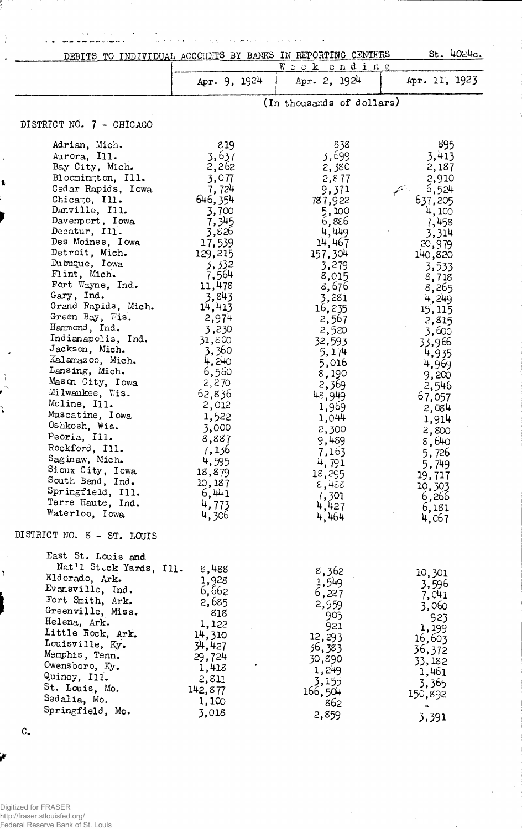|                                           |                  | DEBITS TO INDIVIDUAL ACCOUNTS BY BANKS IN REPORTING CENTERS | St. 4024c.      |
|-------------------------------------------|------------------|-------------------------------------------------------------|-----------------|
|                                           |                  | $W$ e e $\mathbf{k}$<br>ending                              |                 |
|                                           | Apr. 9, 1924     | Apr. 2, 1924                                                | Apr. 11, 1923   |
|                                           |                  | (In thousands of dollars)                                   |                 |
| DISTRICT NO. 7 - CHICAGO                  |                  |                                                             |                 |
| Adrian, Mich.                             | 819              | 838                                                         | 895             |
| Aurora, Ill.                              | 3,637            | 3,699                                                       | 3,413           |
| Bay City, Mich.                           | 2,262            | 2,380                                                       | 2,187           |
| Bloomington, Ill.                         | 3,077            | 2, 877                                                      | 2,910           |
| Cedar Rapids, Iowa                        | 7,724            | 9,371                                                       | 6,524           |
| Chicago, Ill.                             | 646, 354         | 787,922                                                     | 637,205         |
| Danville, Ill.<br>Davenport, Iowa         | 3,700            | 5,100                                                       | 4,100           |
| Decatur, Ill.                             | 7,345<br>3,826   | 6,886<br>4,449                                              | 7,458<br>3,314  |
| Des Moines, Iowa                          | 17,539           | 14,467                                                      | 20,979          |
| Detroit, Mich.                            | 129,215          | 157,304                                                     | 140,820         |
| Dubuque, Iowa                             | 3,332            | 3,279                                                       | 3,533           |
| Flint, Mich.                              | 7,564            | 8,015                                                       | 8,718           |
| Fort Wayne, Ind.                          | 11,478           | 8,676                                                       | 8,265           |
| Gary, Ind.<br>Grand Rapids, Mich.         | 3,843            | 3,281                                                       | 4,249           |
| Green Bay, Wis.                           | 14,413<br>2,974  | 16,235<br>2,567                                             | 15,115          |
| Hammond, Ind.                             | 3,230            | 2,520                                                       | 2,815<br>3,600  |
| Indianapolis, Ind.                        | 31,800           | 32,593                                                      | 33,966          |
| Jackson, Mich.                            | 3,360            | 5,174                                                       | 4,935           |
| Kalamazoo, Mich.                          | 4,240            | 5,016                                                       | 4,969           |
| Lansing, Mich.                            | 6,560            | 8,190                                                       | 9,200           |
| Mason City, Iowa<br>Milwaukee, Wis.       | 2,270<br>62,836  | 2,369                                                       | 2,546           |
| Moline, Ill.                              | 2,012            | 48,949<br>1,969                                             | 67,057          |
| Muscatine, Iowa                           | 1,522            | 1,044                                                       | 2,084<br>1,914  |
| Oshkosh, Wis.                             | 3,000            | 2,300                                                       | 2,800           |
| Peoria, Ill.                              | 8,887            | 9,489                                                       | 8,640           |
| Rockford, Ill.                            | 7,136            | 7,163                                                       | 5,726           |
| Saginaw, Mich.                            | 4,595            | 4,791                                                       | 5,749           |
| Sioux City, Iowa<br>South Bend, Ind.      | 18,879           | 18,295                                                      | 19,717          |
| Springfield, Ill.                         | 10,187<br>6,441  | 8,488                                                       | 10,303          |
| Terre Haute, Ind.                         | 4,773            | 7,301<br>4,427                                              | 6,266           |
| Waterloo, Iowa                            | 4,306            | 4,464                                                       | 6,181<br>4,067  |
| DISTRICT NO. 8 - ST. LOUIS                |                  |                                                             |                 |
| East St. Louis and                        |                  |                                                             |                 |
| Nat'l Steck Yards, Ill.<br>Eldorado, Ark. | 8,488            | 8,362                                                       | 10,301          |
| Evansville, Ind.                          | 1,928<br>6,662   | 1,549                                                       | 3,596           |
| Fort Smith, Ark.                          | 2,685            | 6,227                                                       | 7, C41          |
| Greenville, Miss.                         | 818              | 2,959<br>905                                                | 3,060           |
| Helena, Ark.                              | 1,122            | 921                                                         | 923             |
| Little Rock, Ark.                         | 14,310           | 12,293                                                      | 1,199<br>16,603 |
| Louisville, Ky.                           | 34,427           | 36,383                                                      | 36,372          |
| Memphis, Tenn.<br>Owensboro, Ky.          | 29,724           | 30,890                                                      | 33,182          |
| Quincy, Ill.                              | 1,418            | 1,249                                                       | 1,461           |
| St. Louis, Mo.                            | 2,811<br>142,877 | 3,155                                                       | 3,365           |
| Sedalia, Mo.                              | 1,100            | 166,504<br>862                                              | 150,892         |
| Springfield, Mo.                          | 3,018            | 2,859                                                       | $\rightarrow$   |
|                                           |                  |                                                             | 3,391           |

وحربهو لعربيل

 $\mathcal{A}_1$ 

 $\sim$   $\sim$ 

 $\bar{\mathcal{A}}$ 

 $\frac{1}{2}$ 

 $\hat{\mathcal{A}}$ 

C.

K

į

 $\overline{1}$ 

ì

 $\bigg)$ 

 $\bar{\beta}$ J.

 $\bar{\star}$  .

 $\epsilon$ 

 $\ddot{\phantom{a}}$ 

J.

Digitized for FRASER http://fraser.stlouisfed.org/ Federal Reserve Bank of St. Louis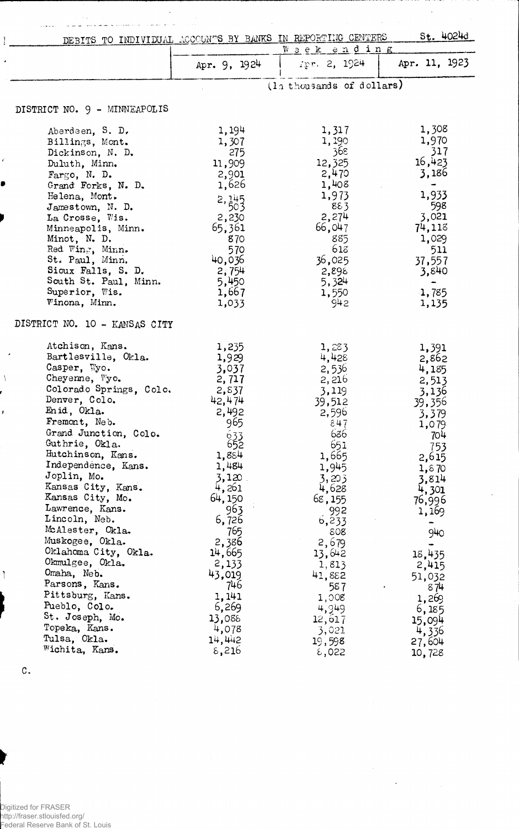|                | DEBITS TO INDIVIDUAL ACCOUNTS BY BANKS IN REPORTING CENTERS |                      |                           | $St.$ 4024d     |
|----------------|-------------------------------------------------------------|----------------------|---------------------------|-----------------|
|                |                                                             |                      | Week ending               |                 |
|                |                                                             | Apr. 9, 1924         | Apr. 2, 1924              | Apr. 11, 1923   |
|                |                                                             |                      | (la thousands of dollars) |                 |
|                | DISTRICT NO. 9 - MINNEAPOLIS                                |                      |                           |                 |
|                | Aberdeen, S. D.                                             | 1,194                | 1,317                     | 1,308           |
|                | Billings, Mont.                                             | 1,307                | 1,190                     | 1,970           |
|                | Dickinson, N. D.                                            | 275                  | 368                       | 317             |
|                | Duluth, Minn.                                               | 11,909               | 12,325                    | 16,423          |
|                | Fargo, N. D.                                                | 2,901                | 2,470                     | 3,186           |
|                | Grand Forks, N. D.                                          | 1,626                | 1,408                     |                 |
|                | Helena, Mont.                                               | $2, \frac{145}{503}$ | 1,973                     | 1,933           |
|                | Jamestown, N. D.                                            |                      | 883                       | 598             |
|                | La Crosse, Wis.                                             | 2,230                | 2,274                     | 3,021           |
|                | Minneapolis, Minn.                                          | 65,361               | 66,047                    | 74,118          |
|                | Minot, N. D.<br>Red Wing, Minn.                             | 870<br>570           | 885<br>618                | 1,029<br>511    |
|                | St. Paul, Minn.                                             | 40,036               | 36,025                    | 37,557          |
|                | Sioux Falls, S. D.                                          | 2,754                | 2,898                     | 3,840           |
|                | South St. Paul, Minn.                                       | 5,450                | 5,324                     |                 |
|                | Superior, Wis.                                              | 1,667                | 1,550                     | 1,785           |
|                | Winona, Minn.                                               | 1,033                | 942                       | 1,135           |
|                | DISTRICT NO. 10 - KANSAS CITY                               |                      |                           |                 |
|                | Atchison, Kans.                                             | 1,235                | 1,283                     | 1,391           |
|                | Bartlesville, Okla.                                         | 1,929                | 4,428                     | 2,862           |
|                | Casper, Wyo.                                                | 3,037                | 2,536                     | 4,185           |
|                | Cheyenne, Wyo.                                              | 2,717                | 2,216                     | 2,513           |
|                | Colorado Springs, Colo.                                     | 2,837                | 3,119                     | 3,136           |
|                | Denver, Colo.                                               | 42,474               | 39,512                    | 39,356          |
| V              | Enid, Okla.                                                 | 2,492                | 2,596                     | 3,379           |
|                | Fremont, Neb.                                               | 965                  | 847                       | 1,079           |
|                | Grand Junction, Colo.<br>Guthrie, Okla.                     | 633                  | 636                       | 704             |
|                | Hutchinson, Kans.                                           | 652<br>1,884         | 651<br>1,665              | 753             |
|                | Independence, Kans.                                         | 1,484                | 1,945                     | 2,615           |
|                | Joplin, Mo.                                                 | 3,120                | 3,203                     | 1,870<br>3,814  |
|                | Kansas City, Kans.                                          | 4,261                | 4,628                     | 4,301           |
|                | Kansas City, Mo.                                            | 64, 150              | 68, 155                   | 76,996          |
|                | Lawrence, Kans.                                             | 963                  | 992                       | 1,169           |
|                | Lincoln, Neb.                                               | 6,726                | b, 233                    |                 |
|                | McAlester, Okla.                                            | 765                  | 808                       | 940             |
|                | Muskogee, Okla.                                             | 2,386                | 2,679                     |                 |
|                | Oklahoma City, Okla.                                        | 14,665               | 13,642                    | 18,435          |
|                | Okmulgee, Okla.<br>Omaha, Neb.                              | 2,133                | 1,813                     | 2,415           |
| $\mathfrak{r}$ | Parsons, Kans.                                              | 43,019<br>746        | 41,882                    | 51,032          |
|                | Pittsburg, Kans.                                            | 1,141                | 587<br>1,008              | 874             |
|                | Pueblo, Colo.                                               | 6,269                | 4,949                     | 1,269           |
|                | St. Joseph, Mo.                                             | 13,088               | 12,617                    | 6,185<br>15,094 |
|                | Topeka, Kans.                                               | 4,078                | 3,021                     | 4,336           |
|                | Tulsa, Okla.                                                | 14,442               | 19,598                    | 27,604          |
|                | Wichita, Kans.                                              | 8,216                | $\epsilon$ ,022           | 10,728          |
|                |                                                             |                      |                           |                 |

l,

 $\hat{\boldsymbol{\beta}}$ 

 $\sim$ 

 $\sim$ 

المرابط الموالين

 $\frac{1}{2}$ 

 $\sim$   $\sim$ 

 $\overline{a}$ 

 $\sim$   $\sim$ 

 $\bar{z}$  ,  $\bar{z}$  ,  $\bar{z}$ 

 $\ddot{\phantom{a}}$ 

j. l.

C.

Digitized for FRASER http://fraser.stlouisfed.org/ Federal Reserve Bank of St. Louis